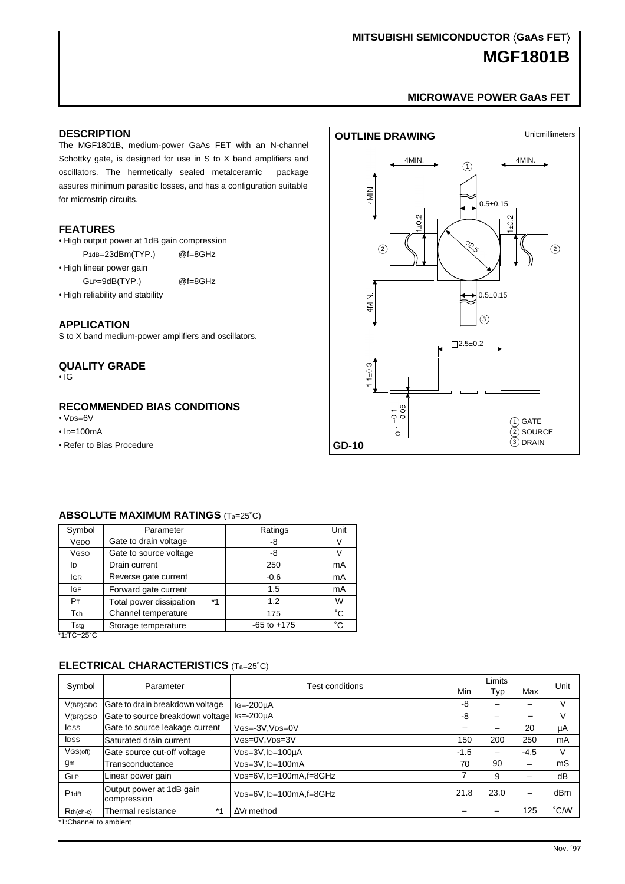# **MGF1801B MITSUBISHI SEMICONDUCTOR (GaAs FET)**

# **[MICROWAVE POWER GaAs FET](#page-6-0)**

#### <span id="page-0-0"></span>**DESCRIPTION**

The MGF1801B, medium-power GaAs FET with an N-channel Schottky gate, is designed for use in S to X band amplifiers and oscillators. The hermetically sealed metalceramic package assures minimum parasitic losses, and has a configuration suitable for microstrip circuits.

#### **FEATURES**

- High output power at 1dB gain compression
- P<sub>1dB=23dBm</sub>(TYP.) @f=8GHz
- High linear power gain

GLP=9dB(TYP.) @f=8GHz

• High reliability and stability

#### **APPLICATION**

S to X band medium-power amplifiers and oscillators.

#### **QUALITY GRADE**

• IG

#### **RECOMMENDED BIAS CONDITIONS**

- VDS=6V
- $\cdot$  ID=100mA
- Refer to Bias Procedure



#### **ABSOLUTE MAXIMUM RATINGS** (Ta=25˚C)

| Symbol                                                                                        | Parameter               |    | Ratings         | Unit         |
|-----------------------------------------------------------------------------------------------|-------------------------|----|-----------------|--------------|
| VGDO                                                                                          | Gate to drain voltage   |    | -8              |              |
| VGSO                                                                                          | Gate to source voltage  |    | -8              |              |
| ID                                                                                            | Drain current           |    | 250             | mA           |
| <b>IGR</b>                                                                                    | Reverse gate current    |    | $-0.6$          | mA           |
| <b>IGF</b>                                                                                    | Forward gate current    |    | 1.5             | mA           |
| P <sub>T</sub>                                                                                | Total power dissipation | *1 | 1.2             | W            |
| Tch                                                                                           | Channel temperature     |    | 175             | °С           |
| $T_{\sf stq}$<br>$\overline{11}$ $\overline{20}$ $\overline{0}$ $\overline{0}$ $\overline{0}$ | Storage temperature     |    | $-65$ to $+175$ | $^{\circ}$ C |

\*1:TC=25˚C

### **ELECTRICAL CHARACTERISTICS** (Ta=25˚C)

| Symbol                | Parameter                               | <b>Test conditions</b>                           | Limits |      |        | Unit |  |  |
|-----------------------|-----------------------------------------|--------------------------------------------------|--------|------|--------|------|--|--|
|                       |                                         |                                                  |        | Typ  | Max    |      |  |  |
| V(BR)GDO              | Gate to drain breakdown voltage         | $IG = -200 \mu A$                                | -8     |      | -      | V    |  |  |
| V <sub>(BR)</sub> GSO | Gate to source breakdown voltage        | $IG = -200 \mu A$                                | -8     |      | -      | V    |  |  |
| <b>IGSS</b>           | Gate to source leakage current          | VGS=-3V, VDS=0V                                  |        |      | 20     | μA   |  |  |
| <b>IDSS</b>           | Saturated drain current                 | VGS=0V, VDS=3V                                   | 150    | 200  | 250    | mA   |  |  |
| VGS(off)              | Gate source cut-off voltage             | $VDS=3V$ , $ID=100\mu A$                         | $-1.5$ |      | $-4.5$ | V    |  |  |
| gm                    | Transconductance                        | V <sub>DS=3</sub> V.I <sub>D=100</sub> mA        | 70     | 90   | -      | mS   |  |  |
| <b>GLP</b>            | Linear power gain                       | V <sub>DS=6</sub> V.I <sub>D=100</sub> mA.f=8GHz | 7      | 9    | -      | dB   |  |  |
| $P$ <sub>1dB</sub>    | Output power at 1dB gain<br>compression | V <sub>DS=6</sub> V.l <sub>D=100</sub> mA.f=8GHz | 21.8   | 23.0 | -      | dBm  |  |  |
| $Rth(ch-c)$           | $*1$<br>Thermal resistance              | V <sub>f</sub> method                            |        |      | 125    | °C/W |  |  |
| *1:Channel to ambient |                                         |                                                  |        |      |        |      |  |  |

Nov. ´97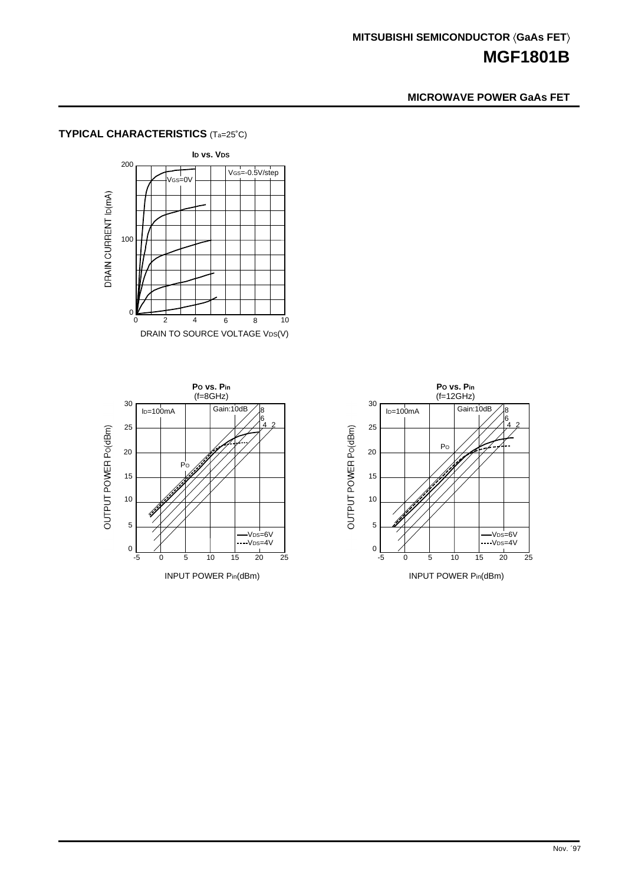## **MICROWAVE POWER GaAs FET**

# **TYPICAL CHARACTERISTICS** (Ta=25˚C)